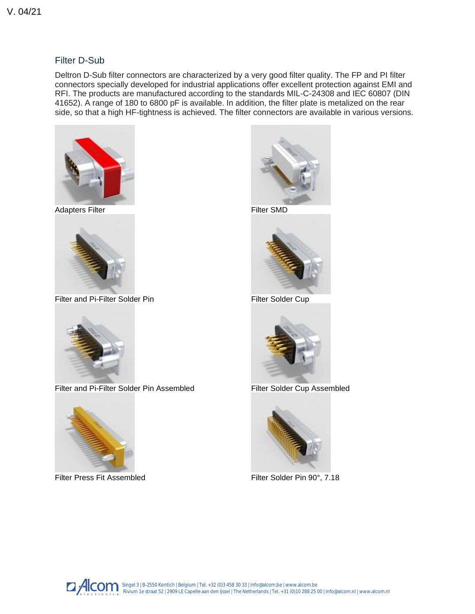## Filter D-Sub

Deltron D-Sub filter connectors are characterized by a very good filter quality. The FP and PI filter connectors specially developed for industrial applications offer excellent protection against EMI and RFI. The products are manufactured according to the standards MIL-C-24308 and IEC 60807 (DIN 41652). A range of 180 to 6800 pF is available. In addition, the filter plate is metalized on the rear side, so that a high HF-tightness is achieved. The filter connectors are available in various versions.



[Adapters Filter](https://www.deltron.ch/product/adapter-filter.html?id=12&limit=48&)



[Filter and Pi-Filter Solder Pin](https://www.deltron.ch/product/filter-und-pi-filter-lotstift.html?id=12&limit=48&)



[Filter and Pi-Filter Solder Pin Assembled](https://www.deltron.ch/product/filter-und-pi-filter-lotstift-montage.html?id=12&limit=48&)



[Filter Press Fit Assembled](https://www.deltron.ch/product/filter-press-fit-montage.html?id=12&limit=48&)



[Filter SMD](https://www.deltron.ch/product/filter-smd.html?id=12&limit=48&)



[Filter Solder Cup](https://www.deltron.ch/product/filter-lotkelch.html?id=12&limit=48&)



[Filter Solder Cup Assembled](https://www.deltron.ch/product/filter-lotkelch-montage.html?id=12&limit=48&)



[Filter Solder Pin 90°, 7.18](https://www.deltron.ch/product/filter-lotstift-90-7-18.html?id=12&limit=48&)